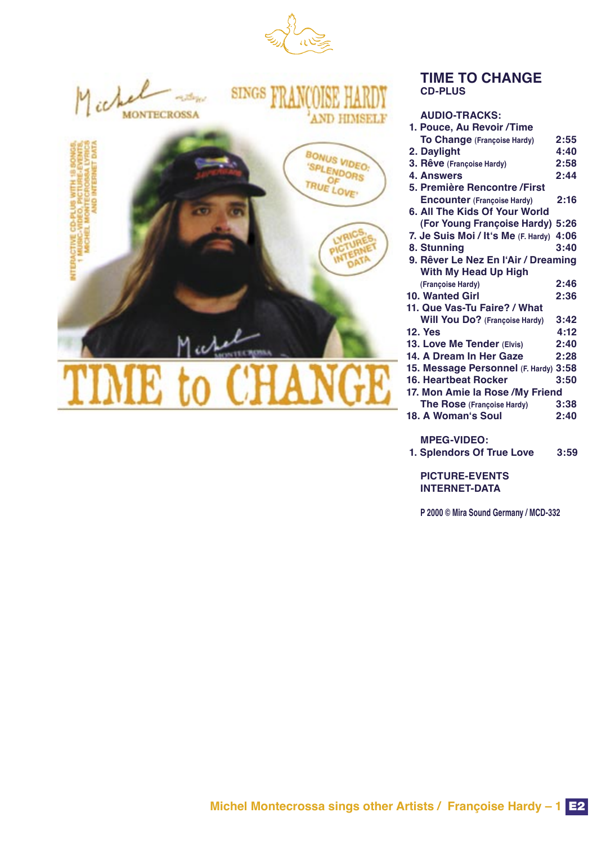

## **TIME TO CHANGE CD-PLUS**

## **AUDIO-TRACKS:**

| 1. Pouce, Au Revoir / Time            |      |  |
|---------------------------------------|------|--|
| To Change (Françoise Hardy)           | 2:55 |  |
| 2. Daylight                           | 4:40 |  |
| 3. Rêve (Françoise Hardy)             | 2:58 |  |
| <b>4. Answers</b>                     | 2:44 |  |
| 5. Première Rencontre / First         |      |  |
| <b>Encounter (Françoise Hardy)</b>    | 2:16 |  |
| 6. All The Kids Of Your World         |      |  |
| (For Young Françoise Hardy) 5:26      |      |  |
| 7. Je Suis Moi / It's Me (F. Hardy)   | 4:06 |  |
| 8. Stunning                           | 3:40 |  |
| 9. Rêver Le Nez En l'Air / Dreaming   |      |  |
| With My Head Up High                  |      |  |
| (Françoise Hardy)                     | 2:46 |  |
| <b>10. Wanted Girl</b>                | 2:36 |  |
| 11. Que Vas-Tu Faire? / What          |      |  |
| <b>Will You Do?</b> (Françoise Hardy) | 3:42 |  |
| <b>12. Yes</b>                        | 4:12 |  |
| 13. Love Me Tender (Elvis)            | 2:40 |  |
| 14. A Dream In Her Gaze               | 2:28 |  |
| 15. Message Personnel (F. Hardy) 3:58 |      |  |
| <b>16. Heartbeat Rocker</b>           | 3:50 |  |
| 17. Mon Amie la Rose / My Friend      |      |  |
| The Rose (Françoise Hardy)            | 3:38 |  |
| 18. A Woman's Soul                    | 2:40 |  |
|                                       |      |  |

## **MPEG-VIDEO:**

 **1. Splendors Of True Love 3:59**

**PICTURE-EVENTS INTERNET-DATA**

**P 2000 © Mira Sound Germany / MCD-332**